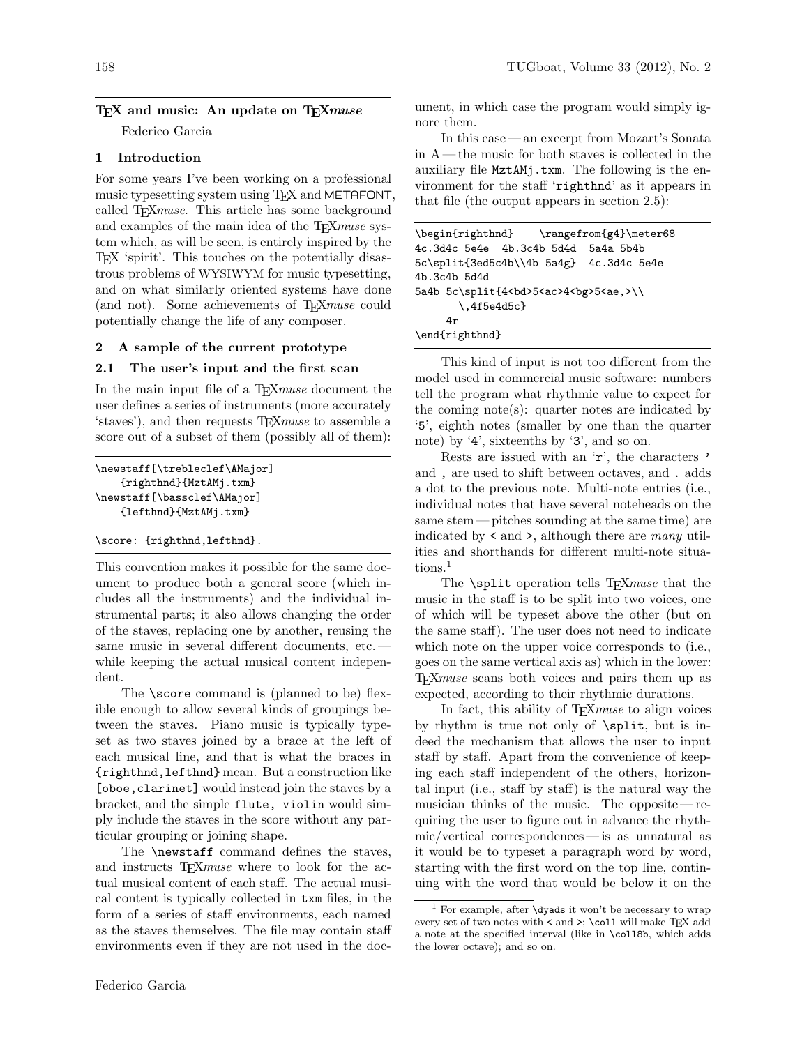## T<sub>EX</sub> and music: An update on T<sub>E</sub>X<sub>muse</sub>

Federico Garcia

### 1 Introduction

For some years I've been working on a professional music typesetting system using T<sub>E</sub>X and METAFONT, called TEXmuse. This article has some background and examples of the main idea of the TFX muse system which, as will be seen, is entirely inspired by the TEX 'spirit'. This touches on the potentially disastrous problems of WYSIWYM for music typesetting, and on what similarly oriented systems have done (and not). Some achievements of T<sub>E</sub>Xmuse could potentially change the life of any composer.

#### 2 A sample of the current prototype

### 2.1 The user's input and the first scan

In the main input file of a T<sub>E</sub>X*muse* document the user defines a series of instruments (more accurately 'staves'), and then requests T<sub>E</sub>X*muse* to assemble a score out of a subset of them (possibly all of them):

```
\newstaff[\trebleclef\AMajor]
   {righthnd}{MztAMj.txm}
\newstaff[\bassclef\AMajor]
   {lefthnd}{MztAMj.txm}
```
#### \score: {righthnd,lefthnd}.

This convention makes it possible for the same document to produce both a general score (which includes all the instruments) and the individual instrumental parts; it also allows changing the order of the staves, replacing one by another, reusing the same music in several different documents, etc. while keeping the actual musical content independent.

The **\score** command is (planned to be) flexible enough to allow several kinds of groupings between the staves. Piano music is typically typeset as two staves joined by a brace at the left of each musical line, and that is what the braces in {righthnd,lefthnd} mean. But a construction like [oboe,clarinet] would instead join the staves by a bracket, and the simple flute, violin would simply include the staves in the score without any particular grouping or joining shape.

The \newstaff command defines the staves, and instructs T<sub>E</sub>X*muse* where to look for the actual musical content of each staff. The actual musical content is typically collected in txm files, in the form of a series of staff environments, each named as the staves themselves. The file may contain staff environments even if they are not used in the document, in which case the program would simply ignore them.

In this case— an excerpt from Mozart's Sonata in A— the music for both staves is collected in the auxiliary file MztAMj.txm. The following is the environment for the staff 'righthnd' as it appears in that file (the output appears in section 2.5):

```
\begin{righthnd} \rangefrom{g4}\meter68
4c.3d4c 5e4e 4b.3c4b 5d4d 5a4a 5b4b
5c\split{3ed5c4b\\4b 5a4g} 4c.3d4c 5e4e
4b.3c4b 5d4d
5a4b 5c\split{4<bd>5<ac>4<br/>bg>5<ae,>\\
       \,4f5e4d5c}
    4r
\end{righthnd}
```
This kind of input is not too different from the model used in commercial music software: numbers tell the program what rhythmic value to expect for the coming note(s): quarter notes are indicated by '5', eighth notes (smaller by one than the quarter note) by '4', sixteenths by '3', and so on.

Rests are issued with an 'r', the characters ' and , are used to shift between octaves, and . adds a dot to the previous note. Multi-note entries (i.e., individual notes that have several noteheads on the same stem — pitches sounding at the same time) are indicated by  $\leq$  and  $\geq$ , although there are *many* utilities and shorthands for different multi-note situations.<sup>1</sup>

The **\split** operation tells T<sub>E</sub>X*muse* that the music in the staff is to be split into two voices, one of which will be typeset above the other (but on the same staff). The user does not need to indicate which note on the upper voice corresponds to (i.e., goes on the same vertical axis as) which in the lower: TEXmuse scans both voices and pairs them up as expected, according to their rhythmic durations.

In fact, this ability of TEXmuse to align voices by rhythm is true not only of \split, but is indeed the mechanism that allows the user to input staff by staff. Apart from the convenience of keeping each staff independent of the others, horizontal input (i.e., staff by staff) is the natural way the musician thinks of the music. The opposite— requiring the user to figure out in advance the rhythmic/vertical correspondences— is as unnatural as it would be to typeset a paragraph word by word, starting with the first word on the top line, continuing with the word that would be below it on the

 $1$  For example, after  $\dy$ ads it won't be necessary to wrap every set of two notes with  $\prec$  and  $\succ$  ;  $\cosh$  will make TEX add a note at the specified interval (like in \coll8b, which adds the lower octave); and so on.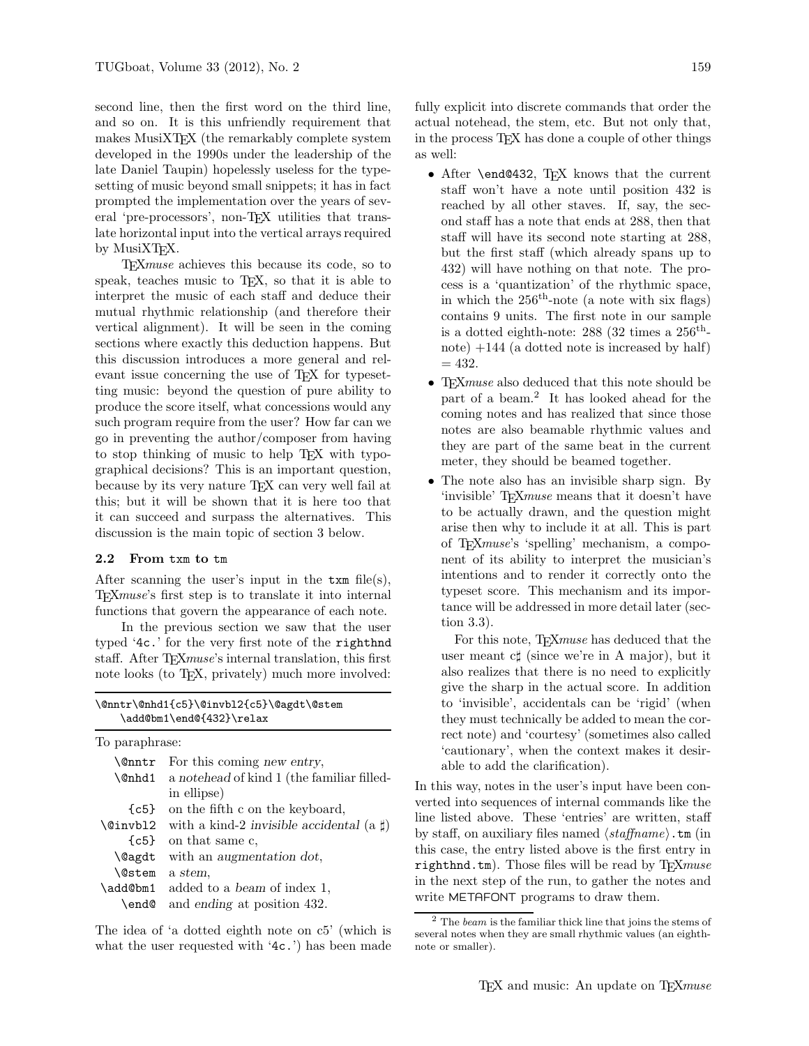second line, then the first word on the third line, and so on. It is this unfriendly requirement that makes MusiXTEX (the remarkably complete system developed in the 1990s under the leadership of the late Daniel Taupin) hopelessly useless for the typesetting of music beyond small snippets; it has in fact prompted the implementation over the years of several 'pre-processors', non-TEX utilities that translate horizontal input into the vertical arrays required by MusiXT<sub>F</sub>X.

TEXmuse achieves this because its code, so to speak, teaches music to T<sub>E</sub>X, so that it is able to interpret the music of each staff and deduce their mutual rhythmic relationship (and therefore their vertical alignment). It will be seen in the coming sections where exactly this deduction happens. But this discussion introduces a more general and relevant issue concerning the use of T<sub>E</sub>X for typesetting music: beyond the question of pure ability to produce the score itself, what concessions would any such program require from the user? How far can we go in preventing the author/composer from having to stop thinking of music to help TEX with typographical decisions? This is an important question, because by its very nature TEX can very well fail at this; but it will be shown that it is here too that it can succeed and surpass the alternatives. This discussion is the main topic of section 3 below.

#### 2.2 From txm to tm

After scanning the user's input in the  $\tanh$  file(s), TEXmuse's first step is to translate it into internal functions that govern the appearance of each note.

In the previous section we saw that the user typed '4c.' for the very first note of the righthnd staff. After T<sub>E</sub>X*muse*'s internal translation, this first note looks (to TEX, privately) much more involved:

| \@nntr\@nhd1{c5}\@invbl2{c5}\@agdt\@stem |  |
|------------------------------------------|--|
| \add@bm1\end@{432}\relax                 |  |

| To paraphrase: |                                                          |  |
|----------------|----------------------------------------------------------|--|
|                | $\text{Contr}$ For this coming new entry,                |  |
|                | <b>\@nhd1</b> a notehead of kind 1 (the familiar filled- |  |
|                | in ellipse)                                              |  |
|                | $\{\texttt{c5}\}\$ on the fifth c on the keyboard,       |  |
| \@invbl2       | with a kind-2 invisible accidental (a $\sharp$ )         |  |
|                | $\{c5\}$ on that same c,                                 |  |
|                | $\text{Qagdt}$ with an augmentation dot,                 |  |
| <b>\@stem</b>  | a stem.                                                  |  |
| \add@bm1       | added to a beam of index 1,                              |  |
| \end@          | and ending at position 432.                              |  |

The idea of 'a dotted eighth note on c5' (which is what the user requested with '4c.') has been made fully explicit into discrete commands that order the actual notehead, the stem, etc. But not only that, in the process TEX has done a couple of other things as well:

- After \end@432, TEX knows that the current staff won't have a note until position 432 is reached by all other staves. If, say, the second staff has a note that ends at 288, then that staff will have its second note starting at 288, but the first staff (which already spans up to 432) will have nothing on that note. The process is a 'quantization' of the rhythmic space, in which the  $256<sup>th</sup>$ -note (a note with six flags) contains 9 units. The first note in our sample is a dotted eighth-note: 288 (32 times a  $256^{\text{th}}$ note)  $+144$  (a dotted note is increased by half)  $= 432.$
- T<sub>E</sub>Xmuse also deduced that this note should be part of a beam.<sup>2</sup> It has looked ahead for the coming notes and has realized that since those notes are also beamable rhythmic values and they are part of the same beat in the current meter, they should be beamed together.
- The note also has an invisible sharp sign. By 'invisible' TFXmuse means that it doesn't have to be actually drawn, and the question might arise then why to include it at all. This is part of TEXmuse's 'spelling' mechanism, a component of its ability to interpret the musician's intentions and to render it correctly onto the typeset score. This mechanism and its importance will be addressed in more detail later (section 3.3).

For this note, T<sub>E</sub>X*muse* has deduced that the user meant c♯ (since we're in A major), but it also realizes that there is no need to explicitly give the sharp in the actual score. In addition to 'invisible', accidentals can be 'rigid' (when they must technically be added to mean the correct note) and 'courtesy' (sometimes also called 'cautionary', when the context makes it desirable to add the clarification).

In this way, notes in the user's input have been converted into sequences of internal commands like the line listed above. These 'entries' are written, staff by staff, on auxiliary files named  $\langle$  staffname $\rangle$ . tm (in this case, the entry listed above is the first entry in righthnd.tm). Those files will be read by  $T_{\text{E}} X m$ use in the next step of the run, to gather the notes and write METAFONT programs to draw them.

 $2$  The *beam* is the familiar thick line that joins the stems of several notes when they are small rhythmic values (an eighthnote or smaller).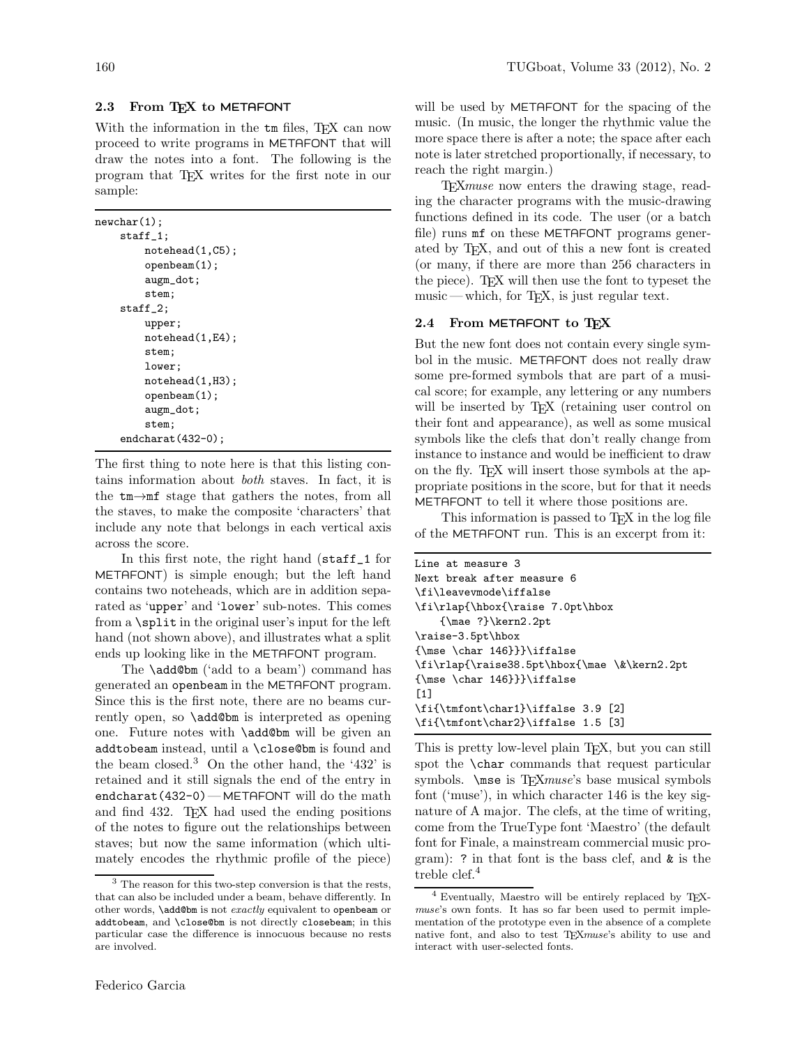# 2.3 From TFX to METAFONT

With the information in the  $\tan$  files, T<sub>E</sub>X can now proceed to write programs in METAFONT that will draw the notes into a font. The following is the program that TEX writes for the first note in our sample:

```
newchar(1);
    staff_1;
        notehead(1,C5);
        openbeam(1);
        augm_dot;
        stem;
    staff_2;
        upper;
        notehead(1,E4);
        stem;
        lower;
        notehead(1,H3);
        openbeam(1);
        augm_dot;
        stem;
    endcharat(432-0);
```
The first thing to note here is that this listing contains information about both staves. In fact, it is the tm→mf stage that gathers the notes, from all the staves, to make the composite 'characters' that include any note that belongs in each vertical axis across the score.

In this first note, the right hand (staff\_1 for METAFONT) is simple enough; but the left hand contains two noteheads, which are in addition separated as 'upper' and 'lower' sub-notes. This comes from a \split in the original user's input for the left hand (not shown above), and illustrates what a split ends up looking like in the METAFONT program.

The **\add@bm** ('add to a beam') command has generated an openbeam in the METAFONT program. Since this is the first note, there are no beams currently open, so \add@bm is interpreted as opening one. Future notes with \add@bm will be given an addtobeam instead, until a \close@bm is found and the beam closed.<sup>3</sup> On the other hand, the '432' is retained and it still signals the end of the entry in endcharat(432-0)— METAFONT will do the math and find 432. T<sub>EX</sub> had used the ending positions of the notes to figure out the relationships between staves; but now the same information (which ultimately encodes the rhythmic profile of the piece)

will be used by METAFONT for the spacing of the music. (In music, the longer the rhythmic value the more space there is after a note; the space after each note is later stretched proportionally, if necessary, to reach the right margin.)

TEXmuse now enters the drawing stage, reading the character programs with the music-drawing functions defined in its code. The user (or a batch file) runs mf on these METAFONT programs generated by TEX, and out of this a new font is created (or many, if there are more than 256 characters in the piece). T $\cancel{FX}$  will then use the font to typeset the music — which, for T<sub>E</sub>X, is just regular text.

### 2.4 From METAFONT to TFX

But the new font does not contain every single symbol in the music. METAFONT does not really draw some pre-formed symbols that are part of a musical score; for example, any lettering or any numbers will be inserted by T<sub>EX</sub> (retaining user control on their font and appearance), as well as some musical symbols like the clefs that don't really change from instance to instance and would be inefficient to draw on the fly. TEX will insert those symbols at the appropriate positions in the score, but for that it needs METAFONT to tell it where those positions are.

This information is passed to TFX in the log file of the METAFONT run. This is an excerpt from it:

```
Line at measure 3
Next break after measure 6
\fi\leavevmode\iffalse
\fi\rlap{\hbox{\raise 7.0pt\hbox
    {\mae ?}\kern2.2pt
\raise-3.5pt\hbox
{\mse \char 146}}}\iffalse
\fi\rlap{\raise38.5pt\hbox{\mae \&\kern2.2pt
{\mse \char 146}}}\iffalse
[1]
\fi{\tmfont\char1}\iffalse 3.9 [2]
\fi{\tmfont\char2}\iffalse 1.5 [3]
```
This is pretty low-level plain TEX, but you can still spot the **\char** commands that request particular symbols. \mse is TEXmuse's base musical symbols font ('muse'), in which character 146 is the key signature of A major. The clefs, at the time of writing, come from the TrueType font 'Maestro' (the default font for Finale, a mainstream commercial music program): ? in that font is the bass clef, and  $\&$  is the treble clef. $4$ 

<sup>3</sup> The reason for this two-step conversion is that the rests, that can also be included under a beam, behave differently. In other words, \add@bm is not exactly equivalent to openbeam or addtobeam, and \close@bm is not directly closebeam; in this particular case the difference is innocuous because no rests are involved.

<sup>4</sup> Eventually, Maestro will be entirely replaced by TEXmuse's own fonts. It has so far been used to permit implementation of the prototype even in the absence of a complete native font, and also to test T<sub>E</sub>Xmuse's ability to use and interact with user-selected fonts.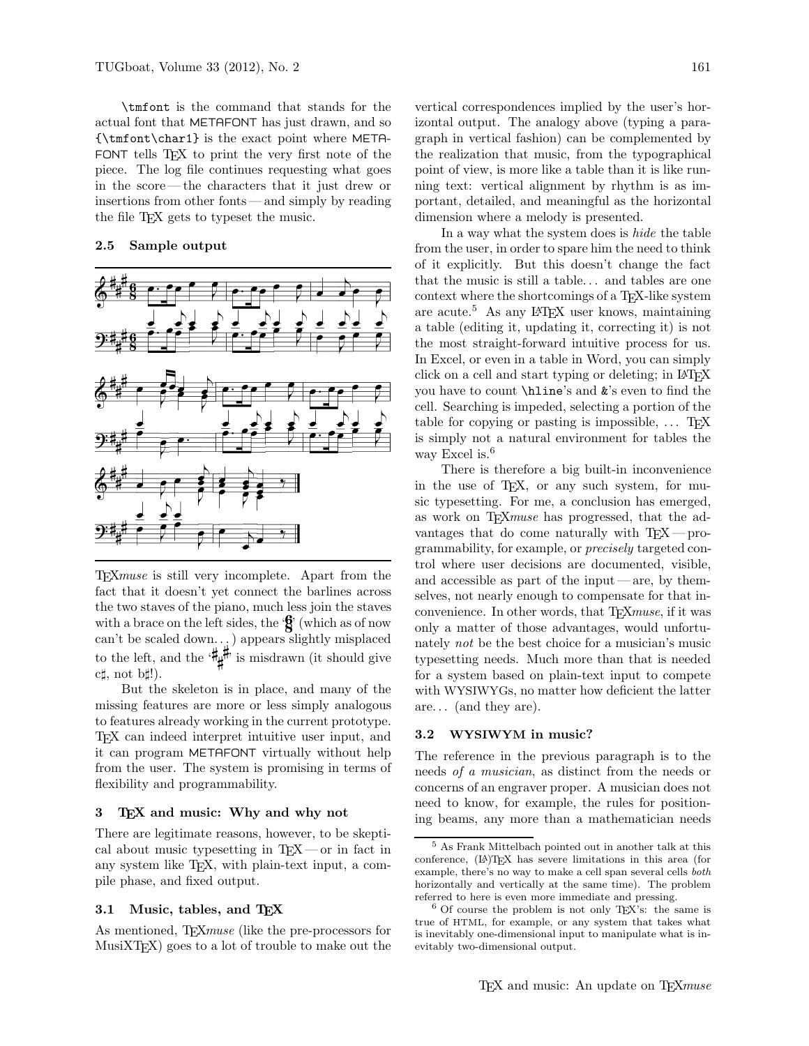\tmfont is the command that stands for the actual font that METAFONT has just drawn, and so {\tmfont\char1} is the exact point where META-FONT tells TEX to print the very first note of the piece. The log file continues requesting what goes in the score— the characters that it just drew or insertions from other fonts— and simply by reading the file TEX gets to typeset the music.

## 2.5 Sample output



TEXmuse is still very incomplete. Apart from the fact that it doesn't yet connect the barlines across the two staves of the piano, much less join the staves with a brace on the left sides, the  $\mathcal{L}'$  (which as of now can't be scaled down. . . ) appears slightly misplaced to the left, and the  $H_{\sharp}^{\sharp\sharp}$  is misdrawn (it should give c♯, not b♯!).

But the skeleton is in place, and many of the missing features are more or less simply analogous to features already working in the current prototype. TEX can indeed interpret intuitive user input, and it can program METAFONT virtually without help from the user. The system is promising in terms of flexibility and programmability.

#### 3 TEX and music: Why and why not

There are legitimate reasons, however, to be skeptical about music typesetting in  $T_{E}X$  — or in fact in any system like TEX, with plain-text input, a compile phase, and fixed output.

#### 3.1 Music, tables, and TEX

As mentioned, T<sub>F</sub>X*muse* (like the pre-processors for  $MusiXTFX$ ) goes to a lot of trouble to make out the vertical correspondences implied by the user's horizontal output. The analogy above (typing a paragraph in vertical fashion) can be complemented by the realization that music, from the typographical point of view, is more like a table than it is like running text: vertical alignment by rhythm is as important, detailed, and meaningful as the horizontal dimension where a melody is presented.

In a way what the system does is hide the table from the user, in order to spare him the need to think of it explicitly. But this doesn't change the fact that the music is still a table. . . and tables are one context where the shortcomings of a T<sub>E</sub>X-like system are acute.<sup>5</sup> As any L<sup>A</sup>TEX user knows, maintaining a table (editing it, updating it, correcting it) is not the most straight-forward intuitive process for us. In Excel, or even in a table in Word, you can simply click on a cell and start typing or deleting; in L<sup>A</sup>TEX you have to count \hline's and &'s even to find the cell. Searching is impeded, selecting a portion of the table for copying or pasting is impossible,  $\ldots$  T<sub>E</sub>X is simply not a natural environment for tables the way Excel is.<sup>6</sup>

There is therefore a big built-in inconvenience in the use of TEX, or any such system, for music typesetting. For me, a conclusion has emerged, as work on T<sub>F</sub>X*muse* has progressed, that the advantages that do come naturally with  $T_FX$  — programmability, for example, or precisely targeted control where user decisions are documented, visible, and accessible as part of the input— are, by themselves, not nearly enough to compensate for that inconvenience. In other words, that T<sub>E</sub>X*muse*, if it was only a matter of those advantages, would unfortunately not be the best choice for a musician's music typesetting needs. Much more than that is needed for a system based on plain-text input to compete with WYSIWYGs, no matter how deficient the latter are. . . (and they are).

#### 3.2 WYSIWYM in music?

The reference in the previous paragraph is to the needs of a musician, as distinct from the needs or concerns of an engraver proper. A musician does not need to know, for example, the rules for positioning beams, any more than a mathematician needs

<sup>5</sup> As Frank Mittelbach pointed out in another talk at this conference, (L<sup>A</sup>)TEX has severe limitations in this area (for example, there's no way to make a cell span several cells both horizontally and vertically at the same time). The problem referred to here is even more immediate and pressing.

<sup>6</sup> Of course the problem is not only TEX's: the same is true of HTML, for example, or any system that takes what is inevitably one-dimensional input to manipulate what is inevitably two-dimensional output.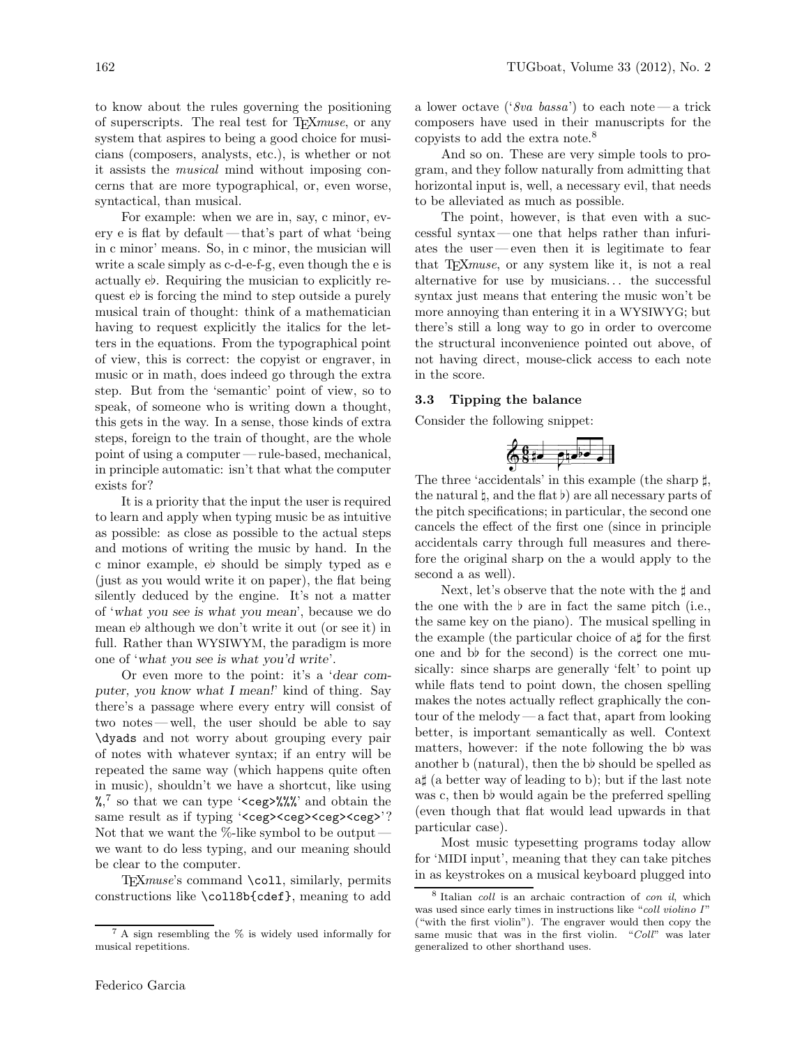to know about the rules governing the positioning of superscripts. The real test for TEXmuse, or any system that aspires to being a good choice for musicians (composers, analysts, etc.), is whether or not it assists the musical mind without imposing concerns that are more typographical, or, even worse, syntactical, than musical.

For example: when we are in, say, c minor, every e is flat by default — that's part of what 'being in c minor' means. So, in c minor, the musician will write a scale simply as c-d-e-f-g, even though the e is actually e♭. Requiring the musician to explicitly request e♭ is forcing the mind to step outside a purely musical train of thought: think of a mathematician having to request explicitly the italics for the letters in the equations. From the typographical point of view, this is correct: the copyist or engraver, in music or in math, does indeed go through the extra step. But from the 'semantic' point of view, so to speak, of someone who is writing down a thought, this gets in the way. In a sense, those kinds of extra steps, foreign to the train of thought, are the whole point of using a computer — rule-based, mechanical, in principle automatic: isn't that what the computer exists for?

It is a priority that the input the user is required to learn and apply when typing music be as intuitive as possible: as close as possible to the actual steps and motions of writing the music by hand. In the c minor example, e♭ should be simply typed as e (just as you would write it on paper), the flat being silently deduced by the engine. It's not a matter of 'what you see is what you mean', because we do mean e♭ although we don't write it out (or see it) in full. Rather than WYSIWYM, the paradigm is more one of 'what you see is what you'd write'.

Or even more to the point: it's a 'dear computer, you know what I mean!' kind of thing. Say there's a passage where every entry will consist of two notes— well, the user should be able to say \dyads and not worry about grouping every pair of notes with whatever syntax; if an entry will be repeated the same way (which happens quite often in music), shouldn't we have a shortcut, like using %,<sup>7</sup> so that we can type '<ceg>%%%' and obtain the same result as if typing '<ceg><ceg><ceg>'? Not that we want the %-like symbol to be output we want to do less typing, and our meaning should be clear to the computer.

TEXmuse's command \coll, similarly, permits constructions like \coll8b{cdef}, meaning to add a lower octave ('8va bassa') to each note — a trick composers have used in their manuscripts for the copyists to add the extra note.<sup>8</sup>

And so on. These are very simple tools to program, and they follow naturally from admitting that horizontal input is, well, a necessary evil, that needs to be alleviated as much as possible.

The point, however, is that even with a successful syntax— one that helps rather than infuriates the user— even then it is legitimate to fear that T<sub>E</sub>X*muse*, or any system like it, is not a real alternative for use by musicians. . . the successful syntax just means that entering the music won't be more annoying than entering it in a WYSIWYG; but there's still a long way to go in order to overcome the structural inconvenience pointed out above, of not having direct, mouse-click access to each note in the score.

# 3.3 Tipping the balance

Consider the following snippet:



The three 'accidentals' in this example (the sharp  $\sharp$ , the natural  $\natural$ , and the flat  $\natural$ ) are all necessary parts of the pitch specifications; in particular, the second one cancels the effect of the first one (since in principle accidentals carry through full measures and therefore the original sharp on the a would apply to the second a as well).

Next, let's observe that the note with the  $\sharp$  and the one with the  $\flat$  are in fact the same pitch (i.e., the same key on the piano). The musical spelling in the example (the particular choice of a♯ for the first one and b♭ for the second) is the correct one musically: since sharps are generally 'felt' to point up while flats tend to point down, the chosen spelling makes the notes actually reflect graphically the contour of the melody— a fact that, apart from looking better, is important semantically as well. Context matters, however: if the note following the b♭ was another b (natural), then the b♭ should be spelled as a♯ (a better way of leading to b); but if the last note was c, then b would again be the preferred spelling (even though that flat would lead upwards in that particular case).

Most music typesetting programs today allow for 'MIDI input', meaning that they can take pitches in as keystrokes on a musical keyboard plugged into

<sup>7</sup> A sign resembling the % is widely used informally for musical repetitions.

<sup>&</sup>lt;sup>8</sup> Italian *coll* is an archaic contraction of *con il*, which was used since early times in instructions like "coll violino I" ("with the first violin"). The engraver would then copy the same music that was in the first violin. "Coll" was later generalized to other shorthand uses.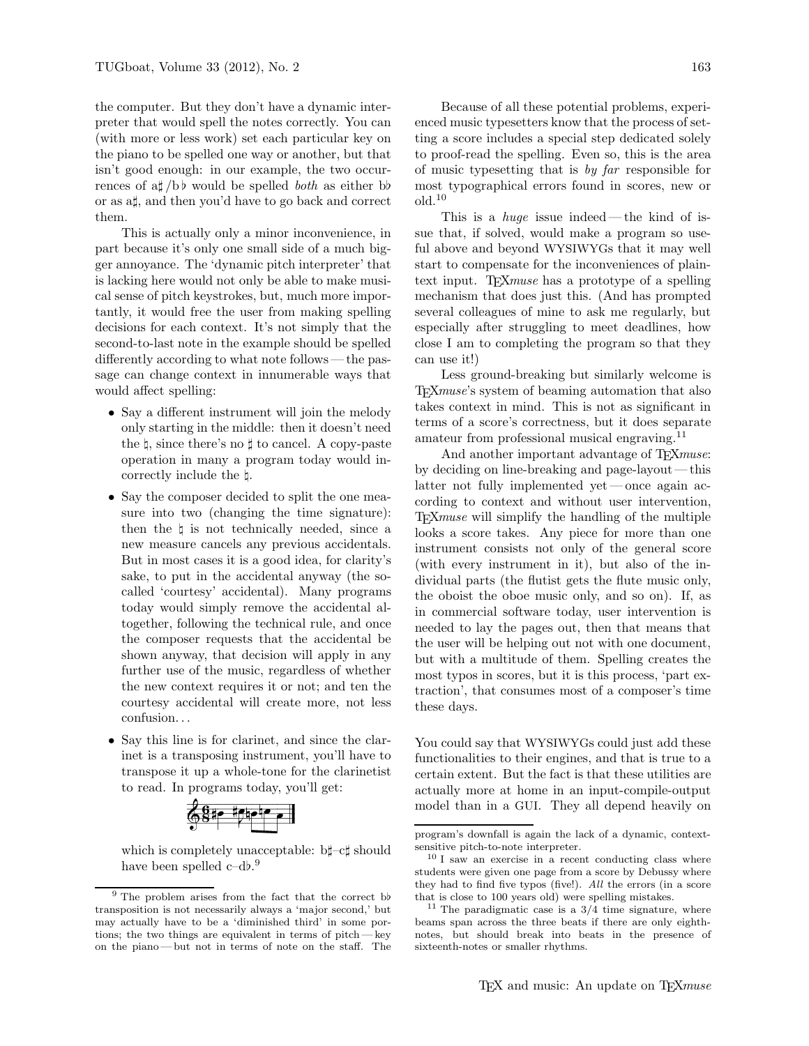the computer. But they don't have a dynamic interpreter that would spell the notes correctly. You can (with more or less work) set each particular key on the piano to be spelled one way or another, but that isn't good enough: in our example, the two occurrences of a $\sharp$  /b  $\flat$  would be spelled *both* as either b or as a♯, and then you'd have to go back and correct them.

This is actually only a minor inconvenience, in part because it's only one small side of a much bigger annoyance. The 'dynamic pitch interpreter' that is lacking here would not only be able to make musical sense of pitch keystrokes, but, much more importantly, it would free the user from making spelling decisions for each context. It's not simply that the second-to-last note in the example should be spelled differently according to what note follows— the passage can change context in innumerable ways that would affect spelling:

- Say a different instrument will join the melody only starting in the middle: then it doesn't need the ♮, since there's no ♯ to cancel. A copy-paste operation in many a program today would incorrectly include the ♮.
- Say the composer decided to split the one measure into two (changing the time signature): then the  $\natural$  is not technically needed, since a new measure cancels any previous accidentals. But in most cases it is a good idea, for clarity's sake, to put in the accidental anyway (the socalled 'courtesy' accidental). Many programs today would simply remove the accidental altogether, following the technical rule, and once the composer requests that the accidental be shown anyway, that decision will apply in any further use of the music, regardless of whether the new context requires it or not; and ten the courtesy accidental will create more, not less confusion. . .
- Say this line is for clarinet, and since the clarinet is a transposing instrument, you'll have to transpose it up a whole-tone for the clarinetist to read. In programs today, you'll get:

 $\bigcirc$   $\bigcirc$  is the  $\bigcirc$ 

which is completely unacceptable: b♯–c♯ should have been spelled c–db.<sup>9</sup>

Because of all these potential problems, experienced music typesetters know that the process of setting a score includes a special step dedicated solely to proof-read the spelling. Even so, this is the area of music typesetting that is by far responsible for most typographical errors found in scores, new or  $old.<sup>10</sup>$ 

This is a *huge* issue indeed — the kind of issue that, if solved, would make a program so useful above and beyond WYSIWYGs that it may well start to compensate for the inconveniences of plaintext input. T<sub>E</sub>X*muse* has a prototype of a spelling mechanism that does just this. (And has prompted several colleagues of mine to ask me regularly, but especially after struggling to meet deadlines, how close I am to completing the program so that they can use it!)

Less ground-breaking but similarly welcome is T<sub>E</sub>X*muse*'s system of beaming automation that also takes context in mind. This is not as significant in terms of a score's correctness, but it does separate amateur from professional musical engraving.<sup>11</sup>

And another important advantage of T<sub>E</sub>Xmuse: by deciding on line-breaking and page-layout— this latter not fully implemented yet— once again according to context and without user intervention, T<sub>E</sub>X*muse* will simplify the handling of the multiple looks a score takes. Any piece for more than one instrument consists not only of the general score (with every instrument in it), but also of the individual parts (the flutist gets the flute music only, the oboist the oboe music only, and so on). If, as in commercial software today, user intervention is needed to lay the pages out, then that means that the user will be helping out not with one document, but with a multitude of them. Spelling creates the most typos in scores, but it is this process, 'part extraction', that consumes most of a composer's time these days.

You could say that WYSIWYGs could just add these functionalities to their engines, and that is true to a certain extent. But the fact is that these utilities are actually more at home in an input-compile-output model than in a GUI. They all depend heavily on

<sup>9</sup> The problem arises from the fact that the correct b♭ transposition is not necessarily always a 'major second,' but may actually have to be a 'diminished third' in some portions; the two things are equivalent in terms of pitch — key on the piano— but not in terms of note on the staff. The

program's downfall is again the lack of a dynamic, contextsensitive pitch-to-note interpreter.

<sup>10</sup> I saw an exercise in a recent conducting class where students were given one page from a score by Debussy where they had to find five typos (five!). All the errors (in a score that is close to 100 years old) were spelling mistakes.

<sup>&</sup>lt;sup>11</sup> The paradigmatic case is a  $3/4$  time signature, where beams span across the three beats if there are only eighthnotes, but should break into beats in the presence of sixteenth-notes or smaller rhythms.